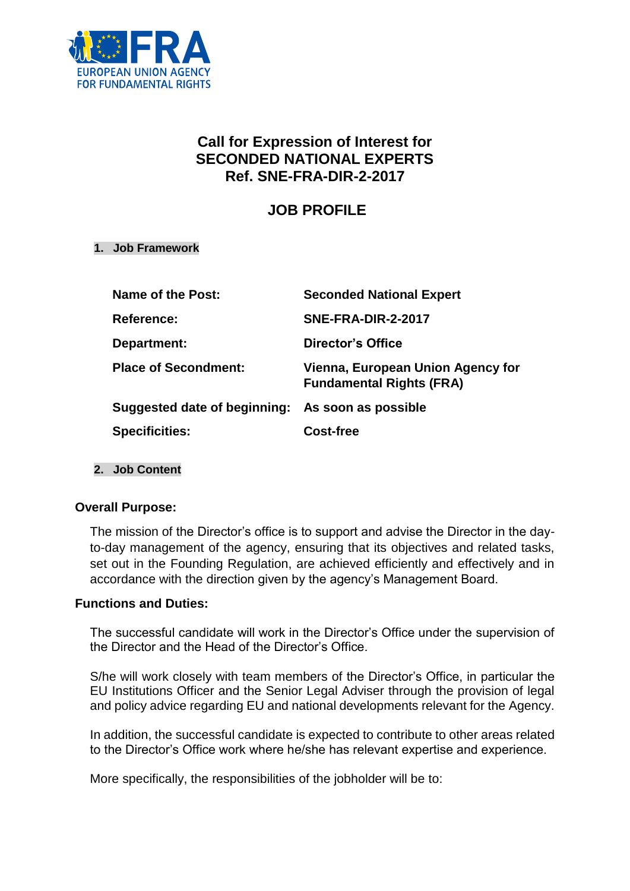

# **Call for Expression of Interest for SECONDED NATIONAL EXPERTS Ref. SNE-FRA-DIR-2-2017**

# **JOB PROFILE**

#### **1. Job Framework**

| Name of the Post:                                | <b>Seconded National Expert</b>                                      |
|--------------------------------------------------|----------------------------------------------------------------------|
| <b>Reference:</b>                                | <b>SNE-FRA-DIR-2-2017</b>                                            |
| Department:                                      | Director's Office                                                    |
| <b>Place of Secondment:</b>                      | Vienna, European Union Agency for<br><b>Fundamental Rights (FRA)</b> |
| Suggested date of beginning: As soon as possible |                                                                      |
| <b>Specificities:</b>                            | Cost-free                                                            |

#### **2. Job Content**

#### **Overall Purpose:**

The mission of the Director's office is to support and advise the Director in the dayto-day management of the agency, ensuring that its objectives and related tasks, set out in the Founding Regulation, are achieved efficiently and effectively and in accordance with the direction given by the agency's Management Board.

#### **Functions and Duties:**

The successful candidate will work in the Director's Office under the supervision of the Director and the Head of the Director's Office.

S/he will work closely with team members of the Director's Office, in particular the EU Institutions Officer and the Senior Legal Adviser through the provision of legal and policy advice regarding EU and national developments relevant for the Agency.

In addition, the successful candidate is expected to contribute to other areas related to the Director's Office work where he/she has relevant expertise and experience.

More specifically, the responsibilities of the jobholder will be to: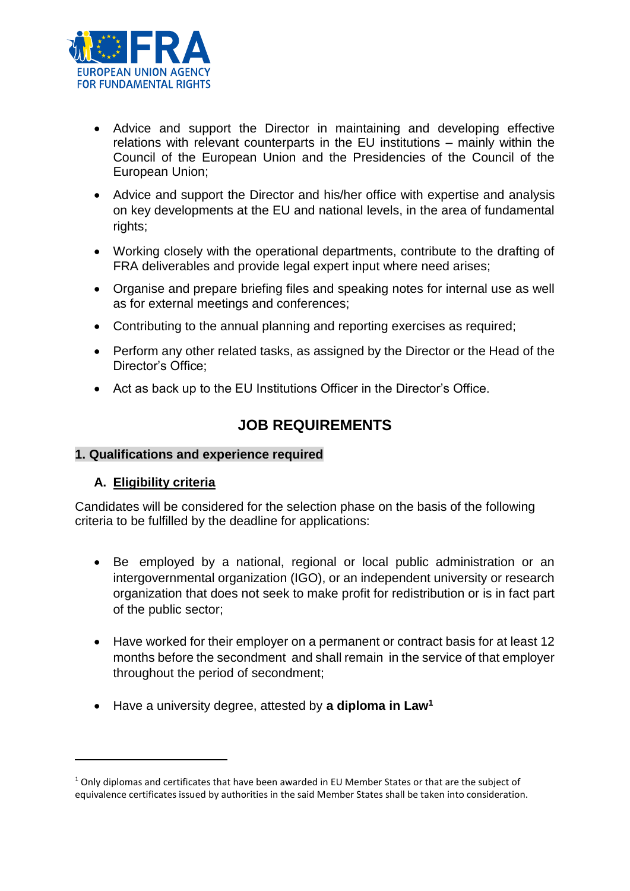

- Advice and support the Director in maintaining and developing effective relations with relevant counterparts in the EU institutions – mainly within the Council of the European Union and the Presidencies of the Council of the European Union;
- Advice and support the Director and his/her office with expertise and analysis on key developments at the EU and national levels, in the area of fundamental rights;
- Working closely with the operational departments, contribute to the drafting of FRA deliverables and provide legal expert input where need arises;
- Organise and prepare briefing files and speaking notes for internal use as well as for external meetings and conferences;
- Contributing to the annual planning and reporting exercises as required;
- Perform any other related tasks, as assigned by the Director or the Head of the Director's Office;
- Act as back up to the EU Institutions Officer in the Director's Office.

# **JOB REQUIREMENTS**

## **1. Qualifications and experience required**

## **A. Eligibility criteria**

 $\overline{a}$ 

Candidates will be considered for the selection phase on the basis of the following criteria to be fulfilled by the deadline for applications:

- Be employed by a national, regional or local public administration or an intergovernmental organization (IGO), or an independent university or research organization that does not seek to make profit for redistribution or is in fact part of the public sector;
- Have worked for their employer on a permanent or contract basis for at least 12 months before the secondment and shall remain in the service of that employer throughout the period of secondment;
- Have a university degree, attested by **a diploma in Law<sup>1</sup>**

 $1$  Only diplomas and certificates that have been awarded in EU Member States or that are the subject of equivalence certificates issued by authorities in the said Member States shall be taken into consideration.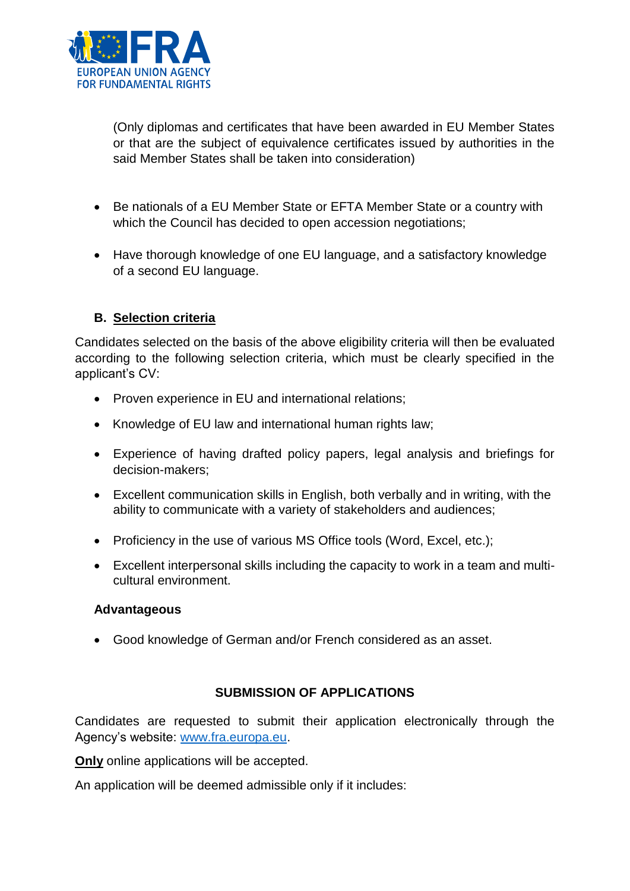

(Only diplomas and certificates that have been awarded in EU Member States or that are the subject of equivalence certificates issued by authorities in the said Member States shall be taken into consideration)

- Be nationals of a EU Member State or EFTA Member State or a country with which the Council has decided to open accession negotiations;
- Have thorough knowledge of one EU language, and a satisfactory knowledge of a second EU language.

## **B. Selection criteria**

Candidates selected on the basis of the above eligibility criteria will then be evaluated according to the following selection criteria, which must be clearly specified in the applicant's CV:

- Proven experience in EU and international relations;
- Knowledge of EU law and international human rights law;
- Experience of having drafted policy papers, legal analysis and briefings for decision-makers;
- Excellent communication skills in English, both verbally and in writing, with the ability to communicate with a variety of stakeholders and audiences;
- Proficiency in the use of various MS Office tools (Word, Excel, etc.);
- Excellent interpersonal skills including the capacity to work in a team and multicultural environment.

#### **Advantageous**

Good knowledge of German and/or French considered as an asset.

## **SUBMISSION OF APPLICATIONS**

Candidates are requested to submit their application electronically through the Agency's website: [www.fra.europa.eu.](http://www.fra.europa.eu/)

**Only** online applications will be accepted.

An application will be deemed admissible only if it includes: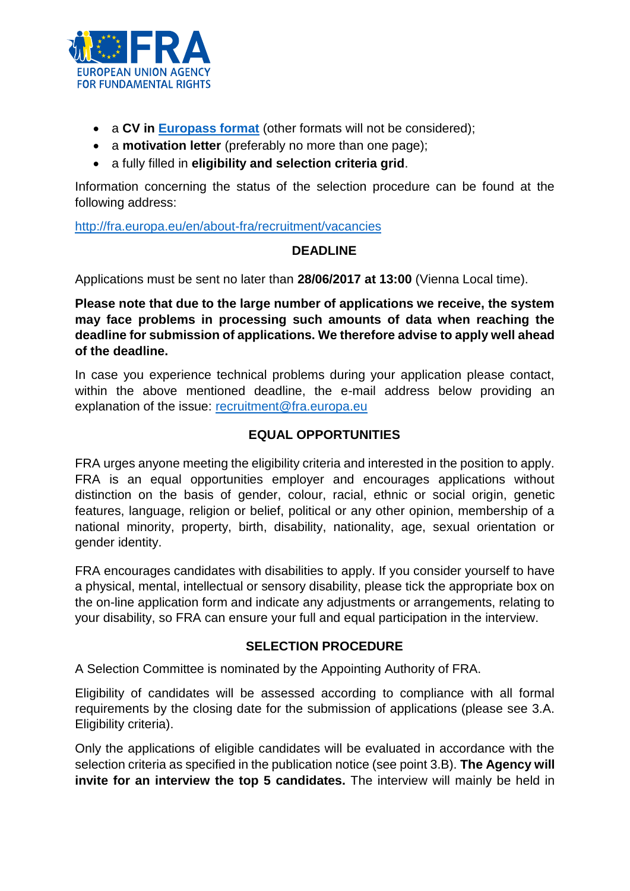

- a **CV in [Europass format](http://europass.cedefop.europa.eu/en/documents/curriculum-vitae/templates-instructions)** (other formats will not be considered);
- a **motivation letter** (preferably no more than one page);
- a fully filled in **eligibility and selection criteria grid**.

Information concerning the status of the selection procedure can be found at the following address:

<http://fra.europa.eu/en/about-fra/recruitment/vacancies>

## **DEADLINE**

Applications must be sent no later than **28/06/2017 at 13:00** (Vienna Local time).

**Please note that due to the large number of applications we receive, the system may face problems in processing such amounts of data when reaching the deadline for submission of applications. We therefore advise to apply well ahead of the deadline.** 

In case you experience technical problems during your application please contact, within the above mentioned deadline, the e-mail address below providing an explanation of the issue: [recruitment@fra.europa.eu](mailto:recruitment@fra.europa.eu)

## **EQUAL OPPORTUNITIES**

FRA urges anyone meeting the eligibility criteria and interested in the position to apply. FRA is an equal opportunities employer and encourages applications without distinction on the basis of gender, colour, racial, ethnic or social origin, genetic features, language, religion or belief, political or any other opinion, membership of a national minority, property, birth, disability, nationality, age, sexual orientation or gender identity.

FRA encourages candidates with disabilities to apply. If you consider yourself to have a physical, mental, intellectual or sensory disability, please tick the appropriate box on the on-line application form and indicate any adjustments or arrangements, relating to your disability, so FRA can ensure your full and equal participation in the interview.

## **SELECTION PROCEDURE**

A Selection Committee is nominated by the Appointing Authority of FRA.

Eligibility of candidates will be assessed according to compliance with all formal requirements by the closing date for the submission of applications (please see 3.A. Eligibility criteria).

Only the applications of eligible candidates will be evaluated in accordance with the selection criteria as specified in the publication notice (see point 3.B). **The Agency will invite for an interview the top 5 candidates.** The interview will mainly be held in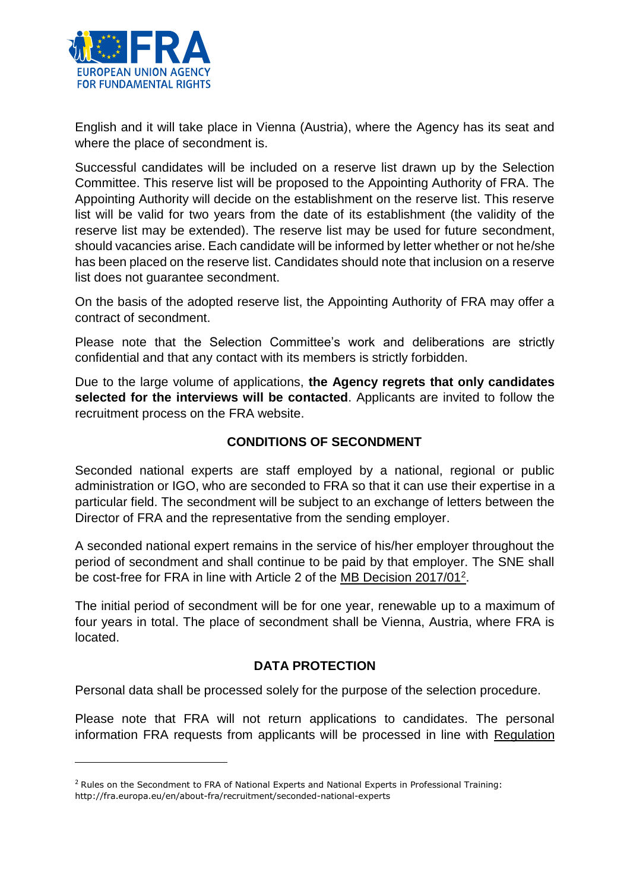

 $\overline{\phantom{a}}$ 

English and it will take place in Vienna (Austria), where the Agency has its seat and where the place of secondment is.

Successful candidates will be included on a reserve list drawn up by the Selection Committee. This reserve list will be proposed to the Appointing Authority of FRA. The Appointing Authority will decide on the establishment on the reserve list. This reserve list will be valid for two years from the date of its establishment (the validity of the reserve list may be extended). The reserve list may be used for future secondment, should vacancies arise. Each candidate will be informed by letter whether or not he/she has been placed on the reserve list. Candidates should note that inclusion on a reserve list does not guarantee secondment.

On the basis of the adopted reserve list, the Appointing Authority of FRA may offer a contract of secondment.

Please note that the Selection Committee's work and deliberations are strictly confidential and that any contact with its members is strictly forbidden.

Due to the large volume of applications, **the Agency regrets that only candidates selected for the interviews will be contacted**. Applicants are invited to follow the recruitment process on the FRA website.

## **CONDITIONS OF SECONDMENT**

Seconded national experts are staff employed by a national, regional or public administration or IGO, who are seconded to FRA so that it can use their expertise in a particular field. The secondment will be subject to an exchange of letters between the Director of FRA and the representative from the sending employer.

A seconded national expert remains in the service of his/her employer throughout the period of secondment and shall continue to be paid by that employer. The SNE shall be cost-free for FRA in line with Article 2 of the MB Decision 2017/01<sup>2</sup>.

The initial period of secondment will be for one year, renewable up to a maximum of four years in total. The place of secondment shall be Vienna, Austria, where FRA is located.

## **DATA PROTECTION**

Personal data shall be processed solely for the purpose of the selection procedure.

Please note that FRA will not return applications to candidates. The personal information FRA requests from applicants will be processed in line with Regulation

<sup>&</sup>lt;sup>2</sup> Rules on the Secondment to FRA of National Experts and National Experts in Professional Training: http://fra.europa.eu/en/about-fra/recruitment/seconded-national-experts